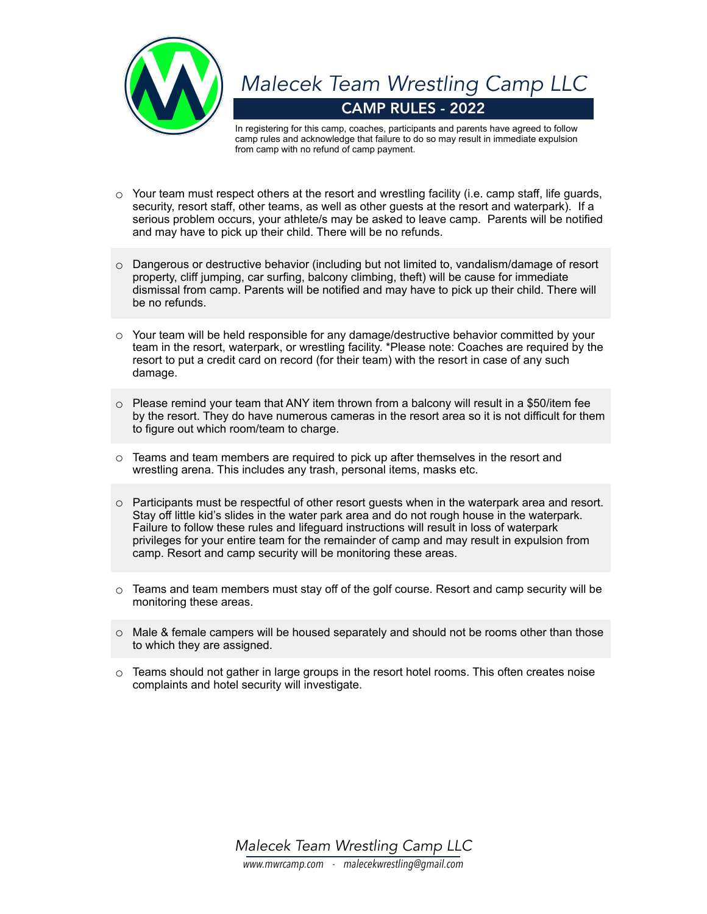

CAMP RULES - 2022 *Malecek Team Wrestling Camp LLC*

In registering for this camp, coaches, participants and parents have agreed to follow camp rules and acknowledge that failure to do so may result in immediate expulsion from camp with no refund of camp payment.

- $\circ$  Your team must respect others at the resort and wrestling facility (i.e. camp staff, life guards, security, resort staff, other teams, as well as other guests at the resort and waterpark). If a serious problem occurs, your athlete/s may be asked to leave camp. Parents will be notified and may have to pick up their child. There will be no refunds.
- $\circ$  Dangerous or destructive behavior (including but not limited to, vandalism/damage of resort property, cliff jumping, car surfing, balcony climbing, theft) will be cause for immediate dismissal from camp. Parents will be notified and may have to pick up their child. There will be no refunds.
- $\circ$  Your team will be held responsible for any damage/destructive behavior committed by your team in the resort, waterpark, or wrestling facility. \*Please note: Coaches are required by the resort to put a credit card on record (for their team) with the resort in case of any such damage.
- $\circ$  Please remind your team that ANY item thrown from a balcony will result in a \$50/item fee by the resort. They do have numerous cameras in the resort area so it is not difficult for them to figure out which room/team to charge.
- $\circ$  Teams and team members are required to pick up after themselves in the resort and wrestling arena. This includes any trash, personal items, masks etc.
- $\circ$  Participants must be respectful of other resort guests when in the waterpark area and resort. Stay off little kid's slides in the water park area and do not rough house in the waterpark. Failure to follow these rules and lifeguard instructions will result in loss of waterpark privileges for your entire team for the remainder of camp and may result in expulsion from camp. Resort and camp security will be monitoring these areas.
- $\circ$  Teams and team members must stay off of the golf course. Resort and camp security will be monitoring these areas.
- $\circ$  Male & female campers will be housed separately and should not be rooms other than those to which they are assigned.
- $\circ$  Teams should not gather in large groups in the resort hotel rooms. This often creates noise complaints and hotel security will investigate.

*Malecek Team Wrestling Camp LLC www.mwrcamp.com - malecekwrestling@gmail.com*